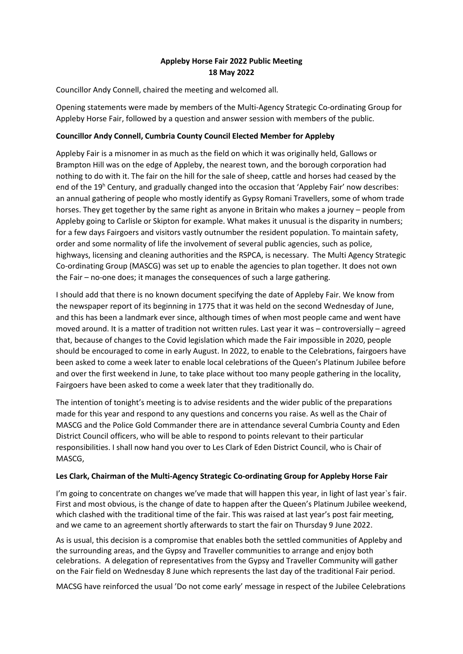# **Appleby Horse Fair 2022 Public Meeting 18 May 2022**

Councillor Andy Connell, chaired the meeting and welcomed all.

Opening statements were made by members of the Multi-Agency Strategic Co-ordinating Group for Appleby Horse Fair, followed by a question and answer session with members of the public.

## **Councillor Andy Connell, Cumbria County Council Elected Member for Appleby**

Appleby Fair is a misnomer in as much as the field on which it was originally held, Gallows or Brampton Hill was on the edge of Appleby, the nearest town, and the borough corporation had nothing to do with it. The fair on the hill for the sale of sheep, cattle and horses had ceased by the end of the 19<sup>h</sup> Century, and gradually changed into the occasion that 'Appleby Fair' now describes: an annual gathering of people who mostly identify as Gypsy Romani Travellers, some of whom trade horses. They get together by the same right as anyone in Britain who makes a journey – people from Appleby going to Carlisle or Skipton for example. What makes it unusual is the disparity in numbers; for a few days Fairgoers and visitors vastly outnumber the resident population. To maintain safety, order and some normality of life the involvement of several public agencies, such as police, highways, licensing and cleaning authorities and the RSPCA, is necessary. The Multi Agency Strategic Co-ordinating Group (MASCG) was set up to enable the agencies to plan together. It does not own the Fair – no-one does; it manages the consequences of such a large gathering.

I should add that there is no known document specifying the date of Appleby Fair. We know from the newspaper report of its beginning in 1775 that it was held on the second Wednesday of June, and this has been a landmark ever since, although times of when most people came and went have moved around. It is a matter of tradition not written rules. Last year it was – controversially – agreed that, because of changes to the Covid legislation which made the Fair impossible in 2020, people should be encouraged to come in early August. In 2022, to enable to the Celebrations, fairgoers have been asked to come a week later to enable local celebrations of the Queen's Platinum Jubilee before and over the first weekend in June, to take place without too many people gathering in the locality, Fairgoers have been asked to come a week later that they traditionally do.

The intention of tonight's meeting is to advise residents and the wider public of the preparations made for this year and respond to any questions and concerns you raise. As well as the Chair of MASCG and the Police Gold Commander there are in attendance several Cumbria County and Eden District Council officers, who will be able to respond to points relevant to their particular responsibilities. I shall now hand you over to Les Clark of Eden District Council, who is Chair of MASCG,

### **Les Clark, Chairman of the Multi-Agency Strategic Co-ordinating Group for Appleby Horse Fair**

I'm going to concentrate on changes we've made that will happen this year, in light of last year's fair. First and most obvious, is the change of date to happen after the Queen's Platinum Jubilee weekend, which clashed with the traditional time of the fair. This was raised at last year's post fair meeting, and we came to an agreement shortly afterwards to start the fair on Thursday 9 June 2022.

As is usual, this decision is a compromise that enables both the settled communities of Appleby and the surrounding areas, and the Gypsy and Traveller communities to arrange and enjoy both celebrations. A delegation of representatives from the Gypsy and Traveller Community will gather on the Fair field on Wednesday 8 June which represents the last day of the traditional Fair period.

MACSG have reinforced the usual 'Do not come early' message in respect of the Jubilee Celebrations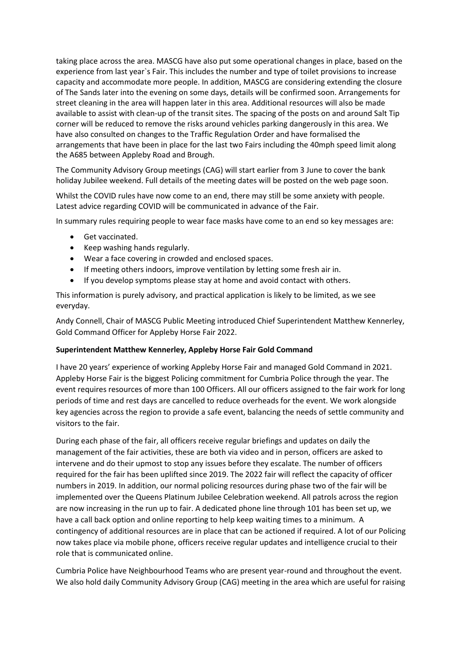taking place across the area. MASCG have also put some operational changes in place, based on the experience from last year`s Fair. This includes the number and type of toilet provisions to increase capacity and accommodate more people. In addition, MASCG are considering extending the closure of The Sands later into the evening on some days, details will be confirmed soon. Arrangements for street cleaning in the area will happen later in this area. Additional resources will also be made available to assist with clean-up of the transit sites. The spacing of the posts on and around Salt Tip corner will be reduced to remove the risks around vehicles parking dangerously in this area. We have also consulted on changes to the Traffic Regulation Order and have formalised the arrangements that have been in place for the last two Fairs including the 40mph speed limit along the A685 between Appleby Road and Brough.

The Community Advisory Group meetings (CAG) will start earlier from 3 June to cover the bank holiday Jubilee weekend. Full details of the meeting dates will be posted on the web page soon.

Whilst the COVID rules have now come to an end, there may still be some anxiety with people. Latest advice regarding COVID will be communicated in advance of the Fair.

In summary rules requiring people to wear face masks have come to an end so key messages are:

- **•** Get vaccinated.
- Keep washing hands regularly.
- Wear a face covering in crowded and enclosed spaces.
- If meeting others indoors, improve ventilation by letting some fresh air in.
- If you develop symptoms please stay at home and avoid contact with others.

This information is purely advisory, and practical application is likely to be limited, as we see everyday.

Andy Connell, Chair of MASCG Public Meeting introduced Chief Superintendent Matthew Kennerley, Gold Command Officer for Appleby Horse Fair 2022.

### **Superintendent Matthew Kennerley, Appleby Horse Fair Gold Command**

I have 20 years' experience of working Appleby Horse Fair and managed Gold Command in 2021. Appleby Horse Fair is the biggest Policing commitment for Cumbria Police through the year. The event requires resources of more than 100 Officers. All our officers assigned to the fair work for long periods of time and rest days are cancelled to reduce overheads for the event. We work alongside key agencies across the region to provide a safe event, balancing the needs of settle community and visitors to the fair.

During each phase of the fair, all officers receive regular briefings and updates on daily the management of the fair activities, these are both via video and in person, officers are asked to intervene and do their upmost to stop any issues before they escalate. The number of officers required for the fair has been uplifted since 2019. The 2022 fair will reflect the capacity of officer numbers in 2019. In addition, our normal policing resources during phase two of the fair will be implemented over the Queens Platinum Jubilee Celebration weekend. All patrols across the region are now increasing in the run up to fair. A dedicated phone line through 101 has been set up, we have a call back option and online reporting to help keep waiting times to a minimum. A contingency of additional resources are in place that can be actioned if required. A lot of our Policing now takes place via mobile phone, officers receive regular updates and intelligence crucial to their role that is communicated online.

Cumbria Police have Neighbourhood Teams who are present year-round and throughout the event. We also hold daily Community Advisory Group (CAG) meeting in the area which are useful for raising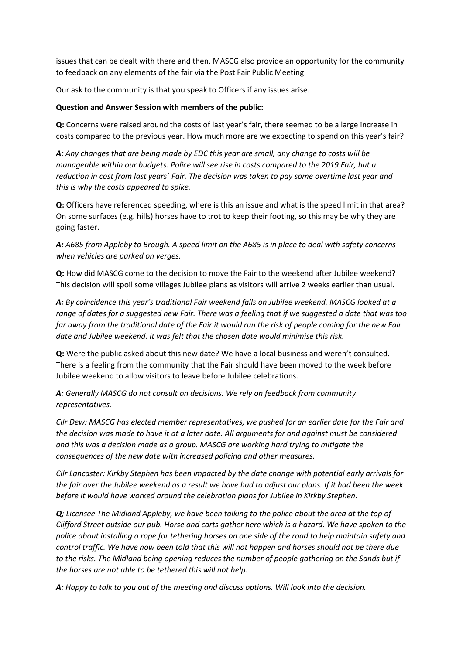issues that can be dealt with there and then. MASCG also provide an opportunity for the community to feedback on any elements of the fair via the Post Fair Public Meeting.

Our ask to the community is that you speak to Officers if any issues arise.

## **Question and Answer Session with members of the public:**

**Q:** Concerns were raised around the costs of last year's fair, there seemed to be a large increase in costs compared to the previous year. How much more are we expecting to spend on this year's fair?

*A: Any changes that are being made by EDC this year are small, any change to costs will be manageable within our budgets. Police will see rise in costs compared to the 2019 Fair, but a reduction in cost from last years` Fair. The decision was taken to pay some overtime last year and this is why the costs appeared to spike.* 

**Q:** Officers have referenced speeding, where is this an issue and what is the speed limit in that area? On some surfaces (e.g. hills) horses have to trot to keep their footing, so this may be why they are going faster.

*A: A685 from Appleby to Brough. A speed limit on the A685 is in place to deal with safety concerns when vehicles are parked on verges.* 

**Q:** How did MASCG come to the decision to move the Fair to the weekend after Jubilee weekend? This decision will spoil some villages Jubilee plans as visitors will arrive 2 weeks earlier than usual.

*A: By coincidence this year's traditional Fair weekend falls on Jubilee weekend. MASCG looked at a range of dates for a suggested new Fair. There was a feeling that if we suggested a date that was too far away from the traditional date of the Fair it would run the risk of people coming for the new Fair date and Jubilee weekend. It was felt that the chosen date would minimise this risk.* 

**Q:** Were the public asked about this new date? We have a local business and weren't consulted. There is a feeling from the community that the Fair should have been moved to the week before Jubilee weekend to allow visitors to leave before Jubilee celebrations.

*A: Generally MASCG do not consult on decisions. We rely on feedback from community representatives.* 

*Cllr Dew: MASCG has elected member representatives, we pushed for an earlier date for the Fair and the decision was made to have it at a later date. All arguments for and against must be considered and this was a decision made as a group. MASCG are working hard trying to mitigate the consequences of the new date with increased policing and other measures.* 

*Cllr Lancaster: Kirkby Stephen has been impacted by the date change with potential early arrivals for the fair over the Jubilee weekend as a result we have had to adjust our plans. If it had been the week before it would have worked around the celebration plans for Jubilee in Kirkby Stephen.*

*Q; Licensee The Midland Appleby, we have been talking to the police about the area at the top of Clifford Street outside our pub. Horse and carts gather here which is a hazard. We have spoken to the police about installing a rope for tethering horses on one side of the road to help maintain safety and control traffic. We have now been told that this will not happen and horses should not be there due to the risks. The Midland being opening reduces the number of people gathering on the Sands but if the horses are not able to be tethered this will not help.* 

*A: Happy to talk to you out of the meeting and discuss options. Will look into the decision.*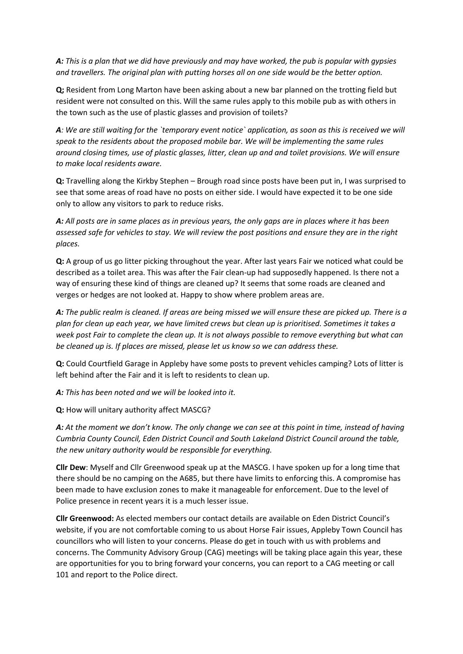*A: This is a plan that we did have previously and may have worked, the pub is popular with gypsies and travellers. The original plan with putting horses all on one side would be the better option.* 

**Q;** Resident from Long Marton have been asking about a new bar planned on the trotting field but resident were not consulted on this. Will the same rules apply to this mobile pub as with others in the town such as the use of plastic glasses and provision of toilets?

*A: We are still waiting for the `temporary event notice` application, as soon as this is received we will speak to the residents about the proposed mobile bar. We will be implementing the same rules around closing times, use of plastic glasses, litter, clean up and and toilet provisions. We will ensure to make local residents aware.* 

**Q:** Travelling along the Kirkby Stephen – Brough road since posts have been put in, I was surprised to see that some areas of road have no posts on either side. I would have expected it to be one side only to allow any visitors to park to reduce risks.

*A: All posts are in same places as in previous years, the only gaps are in places where it has been assessed safe for vehicles to stay. We will review the post positions and ensure they are in the right places.* 

**Q:** A group of us go litter picking throughout the year. After last years Fair we noticed what could be described as a toilet area. This was after the Fair clean-up had supposedly happened. Is there not a way of ensuring these kind of things are cleaned up? It seems that some roads are cleaned and verges or hedges are not looked at. Happy to show where problem areas are.

*A: The public realm is cleaned. If areas are being missed we will ensure these are picked up. There is a plan for clean up each year, we have limited crews but clean up is prioritised. Sometimes it takes a week post Fair to complete the clean up. It is not always possible to remove everything but what can be cleaned up is. If places are missed, please let us know so we can address these.* 

**Q:** Could Courtfield Garage in Appleby have some posts to prevent vehicles camping? Lots of litter is left behind after the Fair and it is left to residents to clean up.

*A: This has been noted and we will be looked into it.* 

**Q:** How will unitary authority affect MASCG?

*A: At the moment we don't know. The only change we can see at this point in time, instead of having Cumbria County Council, Eden District Council and South Lakeland District Council around the table, the new unitary authority would be responsible for everything.* 

**Cllr Dew**: Myself and Cllr Greenwood speak up at the MASCG. I have spoken up for a long time that there should be no camping on the A685, but there have limits to enforcing this. A compromise has been made to have exclusion zones to make it manageable for enforcement. Due to the level of Police presence in recent years it is a much lesser issue.

**Cllr Greenwood:** As elected members our contact details are available on Eden District Council's website, if you are not comfortable coming to us about Horse Fair issues, Appleby Town Council has councillors who will listen to your concerns. Please do get in touch with us with problems and concerns. The Community Advisory Group (CAG) meetings will be taking place again this year, these are opportunities for you to bring forward your concerns, you can report to a CAG meeting or call 101 and report to the Police direct.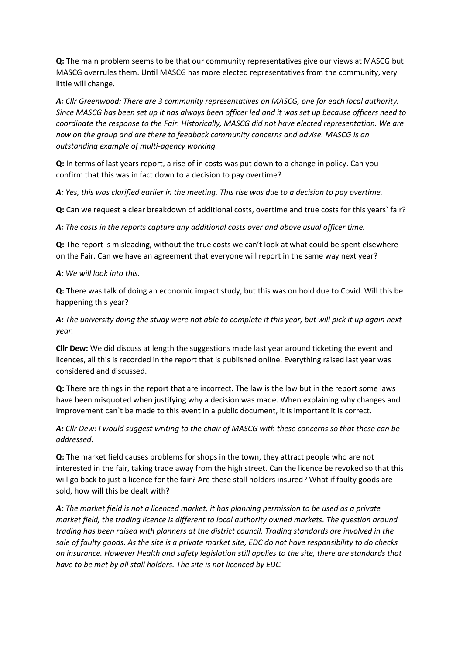**Q:** The main problem seems to be that our community representatives give our views at MASCG but MASCG overrules them. Until MASCG has more elected representatives from the community, very little will change.

*A: Cllr Greenwood: There are 3 community representatives on MASCG, one for each local authority. Since MASCG has been set up it has always been officer led and it was set up because officers need to coordinate the response to the Fair. Historically, MASCG did not have elected representation. We are now on the group and are there to feedback community concerns and advise. MASCG is an outstanding example of multi-agency working.* 

**Q:** In terms of last years report, a rise of in costs was put down to a change in policy. Can you confirm that this was in fact down to a decision to pay overtime?

*A: Yes, this was clarified earlier in the meeting. This rise was due to a decision to pay overtime.* 

**Q:** Can we request a clear breakdown of additional costs, overtime and true costs for this years` fair?

*A: The costs in the reports capture any additional costs over and above usual officer time.* 

**Q:** The report is misleading, without the true costs we can't look at what could be spent elsewhere on the Fair. Can we have an agreement that everyone will report in the same way next year?

## *A: We will look into this.*

**Q:** There was talk of doing an economic impact study, but this was on hold due to Covid. Will this be happening this year?

*A: The university doing the study were not able to complete it this year, but will pick it up again next year.* 

**Cllr Dew:** We did discuss at length the suggestions made last year around ticketing the event and licences, all this is recorded in the report that is published online. Everything raised last year was considered and discussed.

**Q:** There are things in the report that are incorrect. The law is the law but in the report some laws have been misquoted when justifying why a decision was made. When explaining why changes and improvement can`t be made to this event in a public document, it is important it is correct.

*A: Cllr Dew: I would suggest writing to the chair of MASCG with these concerns so that these can be addressed.* 

**Q:** The market field causes problems for shops in the town, they attract people who are not interested in the fair, taking trade away from the high street. Can the licence be revoked so that this will go back to just a licence for the fair? Are these stall holders insured? What if faulty goods are sold, how will this be dealt with?

*A: The market field is not a licenced market, it has planning permission to be used as a private market field, the trading licence is different to local authority owned markets. The question around trading has been raised with planners at the district council. Trading standards are involved in the sale of faulty goods. As the site is a private market site, EDC do not have responsibility to do checks on insurance. However Health and safety legislation still applies to the site, there are standards that have to be met by all stall holders. The site is not licenced by EDC.*